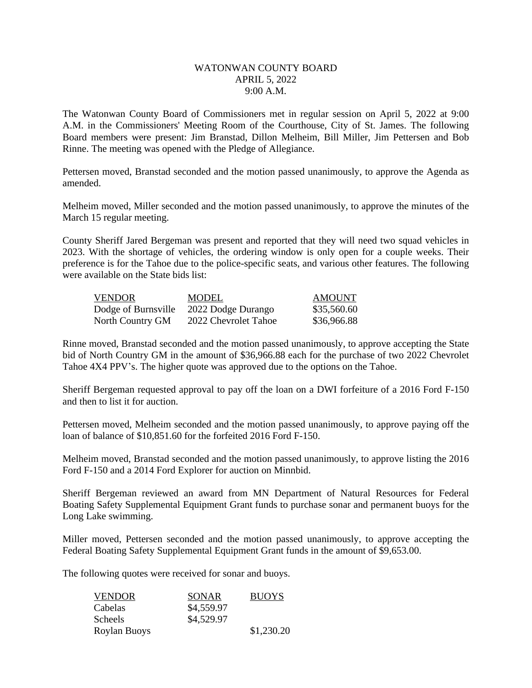## WATONWAN COUNTY BOARD APRIL 5, 2022 9:00 A.M.

The Watonwan County Board of Commissioners met in regular session on April 5, 2022 at 9:00 A.M. in the Commissioners' Meeting Room of the Courthouse, City of St. James. The following Board members were present: Jim Branstad, Dillon Melheim, Bill Miller, Jim Pettersen and Bob Rinne. The meeting was opened with the Pledge of Allegiance.

Pettersen moved, Branstad seconded and the motion passed unanimously, to approve the Agenda as amended.

Melheim moved, Miller seconded and the motion passed unanimously, to approve the minutes of the March 15 regular meeting.

County Sheriff Jared Bergeman was present and reported that they will need two squad vehicles in 2023. With the shortage of vehicles, the ordering window is only open for a couple weeks. Their preference is for the Tahoe due to the police-specific seats, and various other features. The following were available on the State bids list:

| <b>VENDOR</b>       | MODEL                | AMOUNT      |
|---------------------|----------------------|-------------|
| Dodge of Burnsville | 2022 Dodge Durango   | \$35,560.60 |
| North Country GM    | 2022 Chevrolet Tahoe | \$36,966.88 |

Rinne moved, Branstad seconded and the motion passed unanimously, to approve accepting the State bid of North Country GM in the amount of \$36,966.88 each for the purchase of two 2022 Chevrolet Tahoe 4X4 PPV's. The higher quote was approved due to the options on the Tahoe.

Sheriff Bergeman requested approval to pay off the loan on a DWI forfeiture of a 2016 Ford F-150 and then to list it for auction.

Pettersen moved, Melheim seconded and the motion passed unanimously, to approve paying off the loan of balance of \$10,851.60 for the forfeited 2016 Ford F-150.

Melheim moved, Branstad seconded and the motion passed unanimously, to approve listing the 2016 Ford F-150 and a 2014 Ford Explorer for auction on Minnbid.

Sheriff Bergeman reviewed an award from MN Department of Natural Resources for Federal Boating Safety Supplemental Equipment Grant funds to purchase sonar and permanent buoys for the Long Lake swimming.

Miller moved, Pettersen seconded and the motion passed unanimously, to approve accepting the Federal Boating Safety Supplemental Equipment Grant funds in the amount of \$9,653.00.

The following quotes were received for sonar and buoys.

| <b>VENDOR</b>  | SONAR      | <b>BUOYS</b> |
|----------------|------------|--------------|
| Cabelas        | \$4,559.97 |              |
| <b>Scheels</b> | \$4,529.97 |              |
| Roylan Buoys   |            | \$1,230.20   |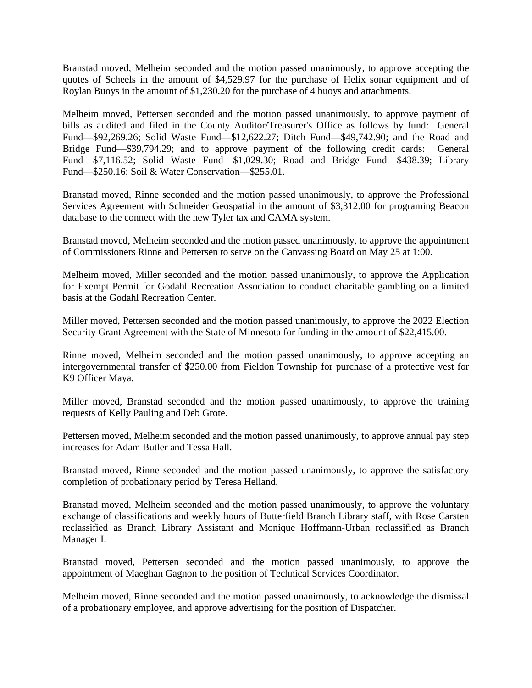Branstad moved, Melheim seconded and the motion passed unanimously, to approve accepting the quotes of Scheels in the amount of \$4,529.97 for the purchase of Helix sonar equipment and of Roylan Buoys in the amount of \$1,230.20 for the purchase of 4 buoys and attachments.

Melheim moved, Pettersen seconded and the motion passed unanimously, to approve payment of bills as audited and filed in the County Auditor/Treasurer's Office as follows by fund: General Fund—\$92,269.26; Solid Waste Fund—\$12,622.27; Ditch Fund—\$49,742.90; and the Road and Bridge Fund—\$39,794.29; and to approve payment of the following credit cards: General Fund—\$7,116.52; Solid Waste Fund—\$1,029.30; Road and Bridge Fund—\$438.39; Library Fund—\$250.16; Soil & Water Conservation—\$255.01.

Branstad moved, Rinne seconded and the motion passed unanimously, to approve the Professional Services Agreement with Schneider Geospatial in the amount of \$3,312.00 for programing Beacon database to the connect with the new Tyler tax and CAMA system.

Branstad moved, Melheim seconded and the motion passed unanimously, to approve the appointment of Commissioners Rinne and Pettersen to serve on the Canvassing Board on May 25 at 1:00.

Melheim moved, Miller seconded and the motion passed unanimously, to approve the Application for Exempt Permit for Godahl Recreation Association to conduct charitable gambling on a limited basis at the Godahl Recreation Center.

Miller moved, Pettersen seconded and the motion passed unanimously, to approve the 2022 Election Security Grant Agreement with the State of Minnesota for funding in the amount of \$22,415.00.

Rinne moved, Melheim seconded and the motion passed unanimously, to approve accepting an intergovernmental transfer of \$250.00 from Fieldon Township for purchase of a protective vest for K9 Officer Maya.

Miller moved, Branstad seconded and the motion passed unanimously, to approve the training requests of Kelly Pauling and Deb Grote.

Pettersen moved, Melheim seconded and the motion passed unanimously, to approve annual pay step increases for Adam Butler and Tessa Hall.

Branstad moved, Rinne seconded and the motion passed unanimously, to approve the satisfactory completion of probationary period by Teresa Helland.

Branstad moved, Melheim seconded and the motion passed unanimously, to approve the voluntary exchange of classifications and weekly hours of Butterfield Branch Library staff, with Rose Carsten reclassified as Branch Library Assistant and Monique Hoffmann-Urban reclassified as Branch Manager I.

Branstad moved, Pettersen seconded and the motion passed unanimously, to approve the appointment of Maeghan Gagnon to the position of Technical Services Coordinator.

Melheim moved, Rinne seconded and the motion passed unanimously, to acknowledge the dismissal of a probationary employee, and approve advertising for the position of Dispatcher.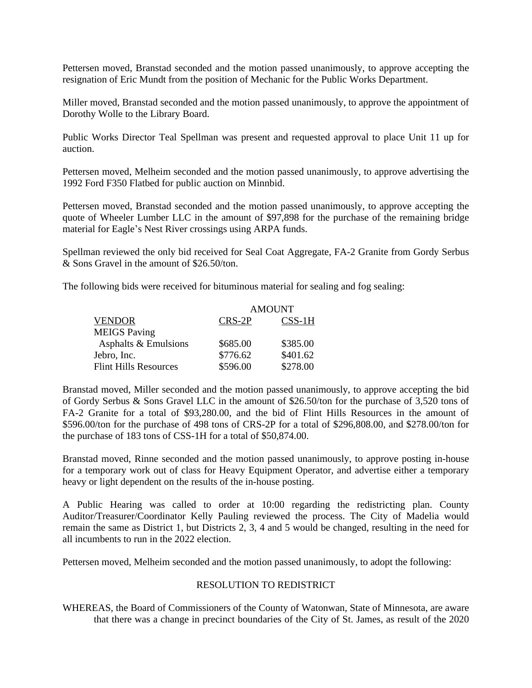Pettersen moved, Branstad seconded and the motion passed unanimously, to approve accepting the resignation of Eric Mundt from the position of Mechanic for the Public Works Department.

Miller moved, Branstad seconded and the motion passed unanimously, to approve the appointment of Dorothy Wolle to the Library Board.

Public Works Director Teal Spellman was present and requested approval to place Unit 11 up for auction.

Pettersen moved, Melheim seconded and the motion passed unanimously, to approve advertising the 1992 Ford F350 Flatbed for public auction on Minnbid.

Pettersen moved, Branstad seconded and the motion passed unanimously, to approve accepting the quote of Wheeler Lumber LLC in the amount of \$97,898 for the purchase of the remaining bridge material for Eagle's Nest River crossings using ARPA funds.

Spellman reviewed the only bid received for Seal Coat Aggregate, FA-2 Granite from Gordy Serbus & Sons Gravel in the amount of \$26.50/ton.

The following bids were received for bituminous material for sealing and fog sealing:

|                              | <b>AMOUNT</b> |          |  |
|------------------------------|---------------|----------|--|
| <b>VENDOR</b>                | CRS-2P        | $CSS-1H$ |  |
| <b>MEIGS</b> Paving          |               |          |  |
| Asphalts & Emulsions         | \$685.00      | \$385.00 |  |
| Jebro, Inc.                  | \$776.62      | \$401.62 |  |
| <b>Flint Hills Resources</b> | \$596.00      | \$278.00 |  |

Branstad moved, Miller seconded and the motion passed unanimously, to approve accepting the bid of Gordy Serbus & Sons Gravel LLC in the amount of \$26.50/ton for the purchase of 3,520 tons of FA-2 Granite for a total of \$93,280.00, and the bid of Flint Hills Resources in the amount of \$596.00/ton for the purchase of 498 tons of CRS-2P for a total of \$296,808.00, and \$278.00/ton for the purchase of 183 tons of CSS-1H for a total of \$50,874.00.

Branstad moved, Rinne seconded and the motion passed unanimously, to approve posting in-house for a temporary work out of class for Heavy Equipment Operator, and advertise either a temporary heavy or light dependent on the results of the in-house posting.

A Public Hearing was called to order at 10:00 regarding the redistricting plan. County Auditor/Treasurer/Coordinator Kelly Pauling reviewed the process. The City of Madelia would remain the same as District 1, but Districts 2, 3, 4 and 5 would be changed, resulting in the need for all incumbents to run in the 2022 election.

Pettersen moved, Melheim seconded and the motion passed unanimously, to adopt the following:

## RESOLUTION TO REDISTRICT

WHEREAS, the Board of Commissioners of the County of Watonwan, State of Minnesota, are aware that there was a change in precinct boundaries of the City of St. James, as result of the 2020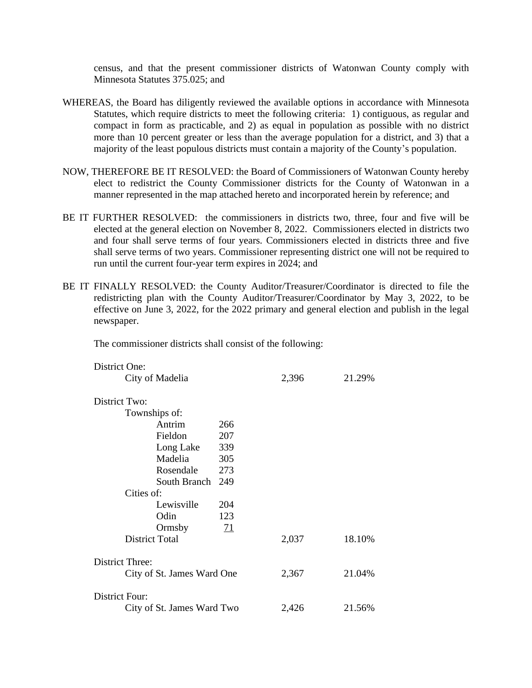census, and that the present commissioner districts of Watonwan County comply with Minnesota Statutes 375.025; and

- WHEREAS, the Board has diligently reviewed the available options in accordance with Minnesota Statutes, which require districts to meet the following criteria: 1) contiguous, as regular and compact in form as practicable, and 2) as equal in population as possible with no district more than 10 percent greater or less than the average population for a district, and 3) that a majority of the least populous districts must contain a majority of the County's population.
- NOW, THEREFORE BE IT RESOLVED: the Board of Commissioners of Watonwan County hereby elect to redistrict the County Commissioner districts for the County of Watonwan in a manner represented in the map attached hereto and incorporated herein by reference; and
- BE IT FURTHER RESOLVED: the commissioners in districts two, three, four and five will be elected at the general election on November 8, 2022. Commissioners elected in districts two and four shall serve terms of four years. Commissioners elected in districts three and five shall serve terms of two years. Commissioner representing district one will not be required to run until the current four-year term expires in 2024; and
- BE IT FINALLY RESOLVED: the County Auditor/Treasurer/Coordinator is directed to file the redistricting plan with the County Auditor/Treasurer/Coordinator by May 3, 2022, to be effective on June 3, 2022, for the 2022 primary and general election and publish in the legal newspaper.

The commissioner districts shall consist of the following:

| District One:              |            |       |        |
|----------------------------|------------|-------|--------|
| City of Madelia            |            | 2,396 | 21.29% |
|                            |            |       |        |
| District Two:              |            |       |        |
| Townships of:              |            |       |        |
| Antrim                     | 266        |       |        |
| Fieldon                    | 207        |       |        |
| Long Lake                  | 339        |       |        |
| Madelia                    | 305        |       |        |
| Rosendale                  | 273        |       |        |
| South Branch               | 249        |       |        |
| Cities of:                 |            |       |        |
| Lewisville                 | 204        |       |        |
| Odin                       | 123        |       |        |
| Ormsby                     | <u> 71</u> |       |        |
| <b>District Total</b>      |            | 2,037 | 18.10% |
|                            |            |       |        |
| District Three:            |            |       |        |
| City of St. James Ward One |            | 2,367 | 21.04% |
| District Four:             |            |       |        |
| City of St. James Ward Two |            | 2,426 | 21.56% |
|                            |            |       |        |